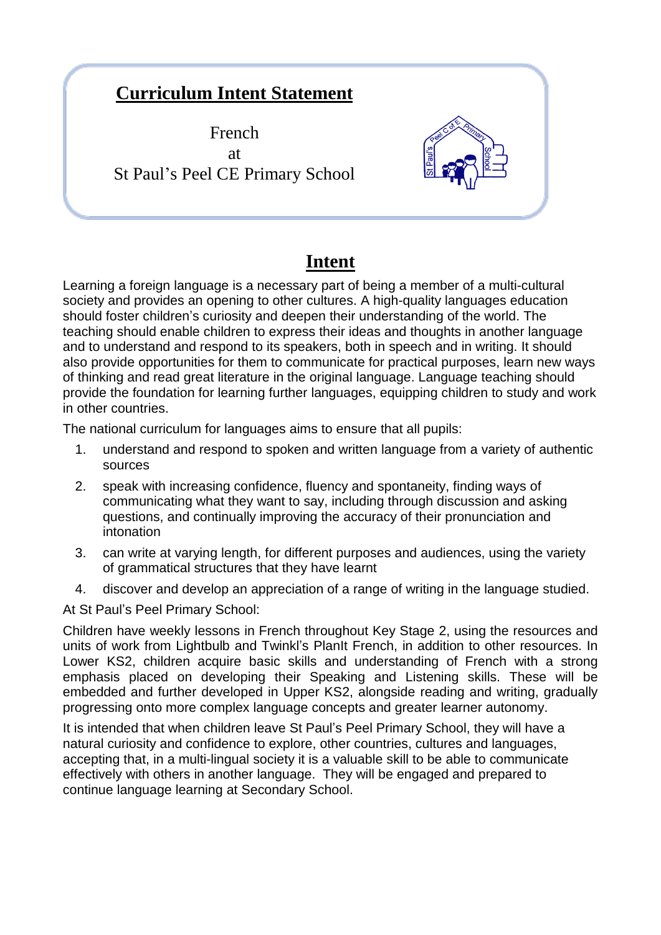## **Curriculum Intent Statement**

French at St Paul's Peel CE Primary School



## **Intent**

Learning a foreign language is a necessary part of being a member of a multi-cultural society and provides an opening to other cultures. A high-quality languages education should foster children's curiosity and deepen their understanding of the world. The teaching should enable children to express their ideas and thoughts in another language and to understand and respond to its speakers, both in speech and in writing. It should also provide opportunities for them to communicate for practical purposes, learn new ways of thinking and read great literature in the original language. Language teaching should provide the foundation for learning further languages, equipping children to study and work in other countries.

The national curriculum for languages aims to ensure that all pupils:

- 1. understand and respond to spoken and written language from a variety of authentic sources
- 2. speak with increasing confidence, fluency and spontaneity, finding ways of communicating what they want to say, including through discussion and asking questions, and continually improving the accuracy of their pronunciation and intonation
- 3. can write at varying length, for different purposes and audiences, using the variety of grammatical structures that they have learnt
- 4. discover and develop an appreciation of a range of writing in the language studied.

At St Paul's Peel Primary School:

Children have weekly lessons in French throughout Key Stage 2, using the resources and units of work from Lightbulb and Twinkl's PlanIt French, in addition to other resources. In Lower KS2, children acquire basic skills and understanding of French with a strong emphasis placed on developing their Speaking and Listening skills. These will be embedded and further developed in Upper KS2, alongside reading and writing, gradually progressing onto more complex language concepts and greater learner autonomy.

It is intended that when children leave St Paul's Peel Primary School, they will have a natural curiosity and confidence to explore, other countries, cultures and languages, accepting that, in a multi-lingual society it is a valuable skill to be able to communicate effectively with others in another language. They will be engaged and prepared to continue language learning at Secondary School.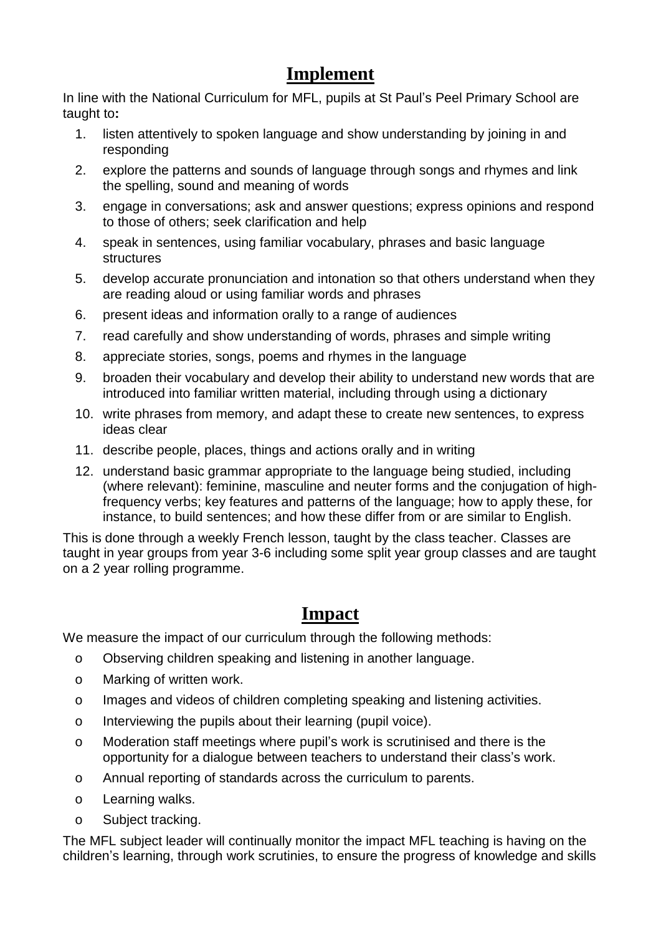## **Implement**

In line with the National Curriculum for MFL, pupils at St Paul's Peel Primary School are taught to**:**

- 1. listen attentively to spoken language and show understanding by joining in and responding
- 2. explore the patterns and sounds of language through songs and rhymes and link the spelling, sound and meaning of words
- 3. engage in conversations; ask and answer questions; express opinions and respond to those of others; seek clarification and help
- 4. speak in sentences, using familiar vocabulary, phrases and basic language structures
- 5. develop accurate pronunciation and intonation so that others understand when they are reading aloud or using familiar words and phrases
- 6. present ideas and information orally to a range of audiences
- 7. read carefully and show understanding of words, phrases and simple writing
- 8. appreciate stories, songs, poems and rhymes in the language
- 9. broaden their vocabulary and develop their ability to understand new words that are introduced into familiar written material, including through using a dictionary
- 10. write phrases from memory, and adapt these to create new sentences, to express ideas clear
- 11. describe people, places, things and actions orally and in writing
- 12. understand basic grammar appropriate to the language being studied, including (where relevant): feminine, masculine and neuter forms and the conjugation of highfrequency verbs; key features and patterns of the language; how to apply these, for instance, to build sentences; and how these differ from or are similar to English.

This is done through a weekly French lesson, taught by the class teacher. Classes are taught in year groups from year 3-6 including some split year group classes and are taught on a 2 year rolling programme.

## **Impact**

We measure the impact of our curriculum through the following methods:

- o Observing children speaking and listening in another language.
- o Marking of written work.
- o Images and videos of children completing speaking and listening activities.
- o Interviewing the pupils about their learning (pupil voice).
- o Moderation staff meetings where pupil's work is scrutinised and there is the opportunity for a dialogue between teachers to understand their class's work.
- o Annual reporting of standards across the curriculum to parents.
- o Learning walks.
- o Subject tracking.

The MFL subject leader will continually monitor the impact MFL teaching is having on the children's learning, through work scrutinies, to ensure the progress of knowledge and skills